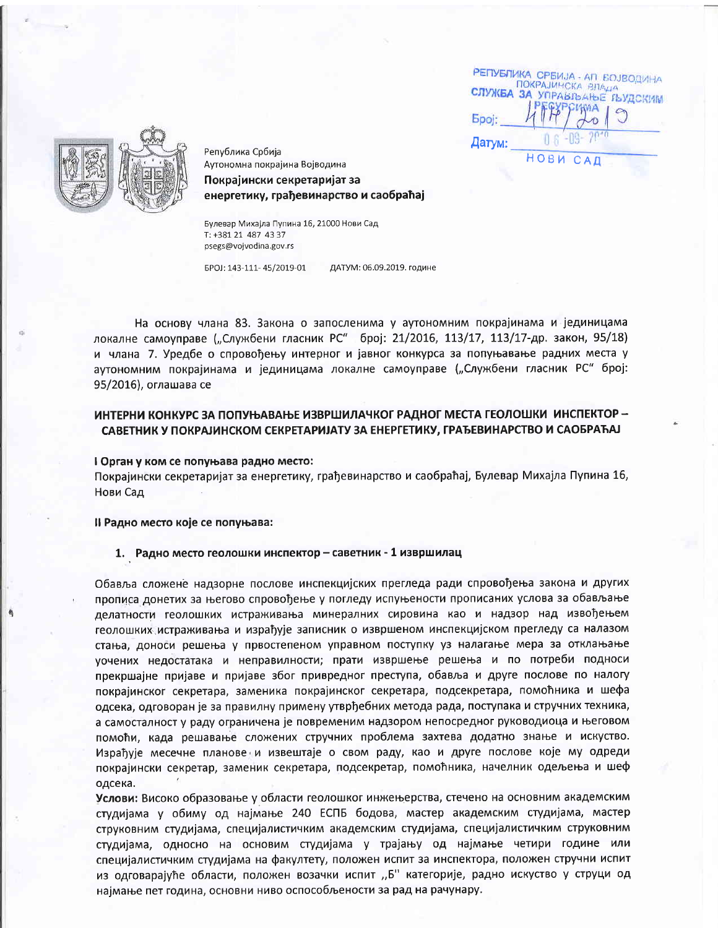РЕПУБЛИКА СРБИЈА - АП БОЈВОДИНА ПОКРАЈИНСКА ВЛАДА СЛУЖБА УПРАВЉАЊЕ ЉУДСКИМ **Epoj:** Датум: НОВИ САД



Република Србија Аутономна покрајина Војводина

Покрајински секретаријат за енергетику, грађевинарство и саобраћај

Булевар Михајла Пупина 16, 21000 Нови Сад T: +381 21 487 43 37 psegs@voivodina.gov.rs

EPOJ: 143-111-45/2019-01 ДАТУМ: 06.09.2019. године

На основу члана 83. Закона о запосленима у аутономним покрајинама и јединицама локалне самоуправе ("Службени гласник РС" број: 21/2016, 113/17, 113/17-др. закон, 95/18) и члана 7. Уредбе о спровођењу интерног и јавног конкурса за попуњавање радних места у аутономним покрајинама и јединицама локалне самоуправе ("Службени гласник РС" број: 95/2016), оглашава се

## ИНТЕРНИ КОНКУРС ЗА ПОПУЊАВАЊЕ ИЗВРШИЛАЧКОГ РАДНОГ МЕСТА ГЕОЛОШКИ ИНСПЕКТОР -САВЕТНИК У ПОКРАЈИНСКОМ СЕКРЕТАРИЈАТУ ЗА ЕНЕРГЕТИКУ, ГРАЂЕВИНАРСТВО И САОБРАЋАЈ

#### I Орган у ком се попуњава радно место:

Покрајински секретаријат за енергетику, грађевинарство и саобраћај, Булевар Михајла Пупина 16, Нови Сад

Il Радно место које се попуњава:

# 1. Радно место геолошки инспектор - саветник - 1 извршилац

Обавља сложене надзорне послове инспекцијских прегледа ради спровођења закона и других прописа донетих за његово спровођење у погледу испуњености прописаних услова за обављање делатности геолошких истраживања минералних сировина као и надзор над извођењем геолошких истраживања и израђује записник о извршеном инспекцијском прегледу са налазом стања, доноси решења у првостепеном управном поступку уз налагање мера за отклањање уочених недостатака и неправилности; прати извршење решења и по потреби подноси прекршајне пријаве и пријаве због привредног преступа, обавља и друге послове по налогу покрајинског секретара, заменика покрајинског секретара, подсекретара, помоћника и шефа одсека, одговоран је за правилну примену утврђебних метода рада, поступака и стручних техника, а самосталност у раду ограничена је повременим надзором непосредног руководиоца и његовом помоћи, када решавање сложених стручних проблема захтева додатно знање и искуство. Израђује месечне планове и извештаје о свом раду, као и друге послове које му одреди покрајински секретар, заменик секретара, подсекретар, помоћника, начелник одељења и шеф одсека.

Услови: Високо образовање у области геолошког инжењерства, стечено на основним академским студијама у обиму од најмање 240 ЕСПБ бодова, мастер академским студијама, мастер струковним студијама, специјалистичким академским студијама, специјалистичким струковним студијама, односно на основим студијама у трајању од најмање четири године или специјалистичким студијама на факултету, положен испит за инспектора, положен стручни испит из одговарајуће области, положен возачки испит "Б" категорије, радно искуство у струци од најмање пет година, основни ниво оспособљености за рад на рачунару.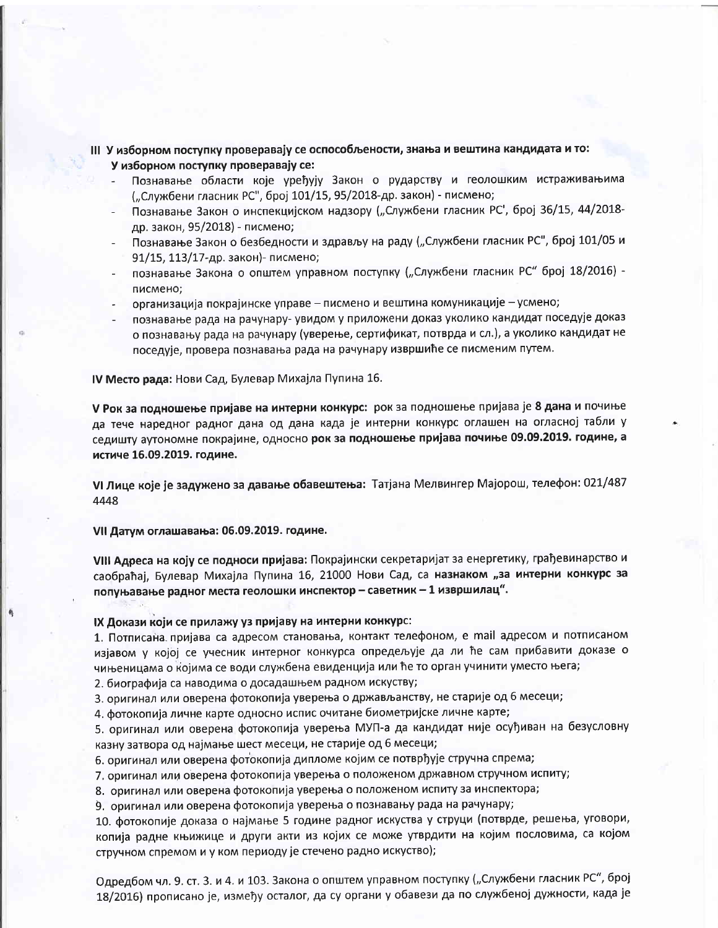## III У изборном поступку проверавају се оспособљености, знања и вештина кандидата и то: У изборном поступку проверавају се:

- Познавање области које уређују Закон о рударству и геолошким истраживањима ("Службени гласник РС", број 101/15, 95/2018-др. закон) - писмено;
- Познавање Закон о инспекцијском надзору ("Службени гласник РС', број 36/15, 44/2018др. закон, 95/2018) - писмено;
- Познавање Закон о безбедности и здрављу на раду ("Службени гласник РС", број 101/05 и 91/15, 113/17-др. закон)- писмено;
- познавање Закона о општем управном поступку ("Службени гласник РС" број 18/2016) писмено;
- организација покрајинске управе писмено и вештина комуникације усмено;
- познавање рада на рачунару- увидом у приложени доказ уколико кандидат поседује доказ о познавању рада на рачунару (уверење, сертификат, потврда и сл.), а уколико кандидат не поседује, провера познавања рада на рачунару извршиће се писменим путем.

IV Место рада: Нови Сад, Булевар Михајла Пупина 16.

У Рок за подношење пријаве на интерни конкурс: рок за подношење пријава је 8 дана и почиње да тече наредног радног дана од дана када је интерни конкурс оглашен на огласној табли у седишту аутономне покрајине, односно рок за подношење пријава почиње 09.09.2019. године, а истиче 16.09.2019. године.

VI Лице које је задужено за давање обавештења: Татјана Мелвингер Мајорош, телефон: 021/487 4448

VII Датум оглашавања: 06.09.2019. године.

VIII Адреса на коју се подноси пријава: Покрајински секретаријат за енергетику, грађевинарство и саобраћај, Булевар Михајла Пупина 16, 21000 Нови Сад, са назнаком "за интерни конкурс за попуњавање радног места геолошки инспектор - саветник - 1 извршилац".

### IX Докази који се прилажу уз пријаву на интерни конкурс:

1. Потписана пријава са адресом становања, контакт телефоном, е mail адресом и потписаном изјавом у којој се учесник интерног конкурса опредељује да ли ће сам прибавити доказе о чињеницама о којима се води службена евиденција или ће то орган учинити уместо њега;

2. биографија са наводима о досадашњем радном искуству;

3. оригинал или оверена фотокопија уверења о држављанству, не старије од 6 месеци;

4. фотокопија личне карте односно испис очитане биометријске личне карте;

5. оригинал или оверена фотокопија уверења МУП-а да кандидат није осуђиван на безусловну казну затвора од најмање шест месеци, не старије од 6 месеци;

6. оригинал или оверена фотокопија дипломе којим се потврђује стручна спрема;

7. оригинал или оверена фотокопија уверења о положеном државном стручном испиту;

8. оригинал или оверена фотокопија уверења о положеном испиту за инспектора;

9. оригинал или оверена фотокопија уверења о познавању рада на рачунару;

10. фотокопије доказа о најмање 5 године радног искуства у струци (потврде, решења, уговори, копија радне књижице и други акти из којих се може утврдити на којим пословима, са којом стручном спремом и у ком периоду је стечено радно искуство);

Одредбом чл. 9. ст. 3. и 4. и 103. Закона о општем управном поступку ("Службени гласник РС", број 18/2016) прописано је, између осталог, да су органи у обавези да по службеној дужности, када је